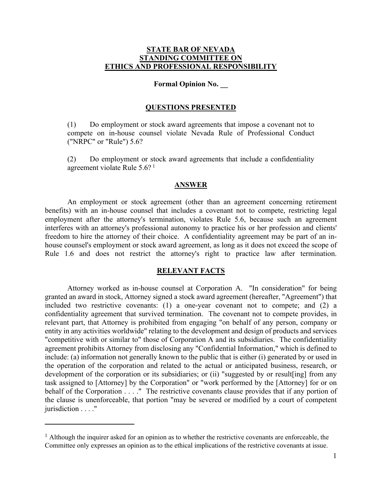# **STATE BAR OF NEVADA STANDING COMMITTEE ON ETHICS AND PROFESSIONAL RESPONSIBILITY**

# **Formal Opinion No. \_\_**

### **QUESTIONS PRESENTED**

(1) Do employment or stock award agreements that impose a covenant not to compete on in-house counsel violate Nevada Rule of Professional Conduct ("NRPC" or "Rule") 5.6?

(2) Do employment or stock award agreements that include a confidentiality agreement violate Rule 5.6? <sup>1</sup>

### **ANSWER**

An employment or stock agreement (other than an agreement concerning retirement benefits) with an in-house counsel that includes a covenant not to compete, restricting legal employment after the attorney's termination, violates Rule 5.6, because such an agreement interferes with an attorney's professional autonomy to practice his or her profession and clients' freedom to hire the attorney of their choice. A confidentiality agreement may be part of an inhouse counsel's employment or stock award agreement, as long as it does not exceed the scope of Rule 1.6 and does not restrict the attorney's right to practice law after termination.

### **RELEVANT FACTS**

Attorney worked as in-house counsel at Corporation A. "In consideration" for being granted an award in stock, Attorney signed a stock award agreement (hereafter, "Agreement") that included two restrictive covenants: (1) a one-year covenant not to compete; and (2) a confidentiality agreement that survived termination. The covenant not to compete provides, in relevant part, that Attorney is prohibited from engaging "on behalf of any person, company or entity in any activities worldwide" relating to the development and design of products and services "competitive with or similar to" those of Corporation A and its subsidiaries. The confidentiality agreement prohibits Attorney from disclosing any "Confidential Information," which is defined to include: (a) information not generally known to the public that is either (i) generated by or used in the operation of the corporation and related to the actual or anticipated business, research, or development of the corporation or its subsidiaries; or (ii) "suggested by or result [ing] from any task assigned to [Attorney] by the Corporation" or "work performed by the [Attorney] for or on behalf of the Corporation . . . . " The restrictive covenants clause provides that if any portion of the clause is unenforceable, that portion "may be severed or modified by a court of competent jurisdiction . . . ."

<sup>&</sup>lt;sup>1</sup> Although the inquirer asked for an opinion as to whether the restrictive covenants are enforceable, the Committee only expresses an opinion as to the ethical implications of the restrictive covenants at issue.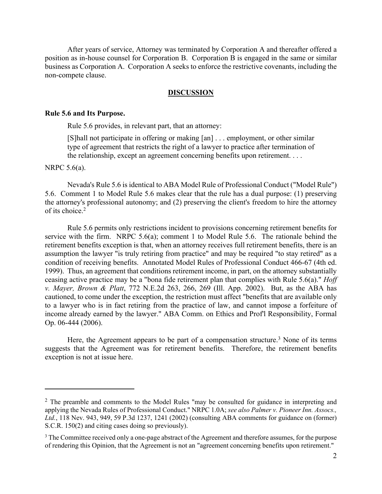After years of service, Attorney was terminated by Corporation A and thereafter offered a position as in-house counsel for Corporation B. Corporation B is engaged in the same or similar business as Corporation A. Corporation A seeks to enforce the restrictive covenants, including the non-compete clause.

### **DISCUSSION**

#### **Rule 5.6 and Its Purpose.**

Rule 5.6 provides, in relevant part, that an attorney:

[S]hall not participate in offering or making [an] . . . employment, or other similar type of agreement that restricts the right of a lawyer to practice after termination of the relationship, except an agreement concerning benefits upon retirement. . . .

NRPC 5.6(a).

Nevada's Rule 5.6 is identical to ABA Model Rule of Professional Conduct ("Model Rule") 5.6. Comment 1 to Model Rule 5.6 makes clear that the rule has a dual purpose: (1) preserving the attorney's professional autonomy; and (2) preserving the client's freedom to hire the attorney of its choice.<sup>2</sup>

Rule 5.6 permits only restrictions incident to provisions concerning retirement benefits for service with the firm. NRPC 5.6(a); comment 1 to Model Rule 5.6. The rationale behind the retirement benefits exception is that, when an attorney receives full retirement benefits, there is an assumption the lawyer "is truly retiring from practice" and may be required "to stay retired" as a condition of receiving benefits. Annotated Model Rules of Professional Conduct 466-67 (4th ed. 1999). Thus, an agreement that conditions retirement income, in part, on the attorney substantially ceasing active practice may be a "bona fide retirement plan that complies with Rule 5.6(a)." *Hoff v. Mayer, Brown & Platt*, 772 N.E.2d 263, 266, 269 (Ill. App. 2002). But, as the ABA has cautioned, to come under the exception, the restriction must affect "benefits that are available only to a lawyer who is in fact retiring from the practice of law, and cannot impose a forfeiture of income already earned by the lawyer." ABA Comm. on Ethics and Prof'l Responsibility, Formal Op. 06-444 (2006).

Here, the Agreement appears to be part of a compensation structure.<sup>3</sup> None of its terms suggests that the Agreement was for retirement benefits. Therefore, the retirement benefits exception is not at issue here.

<sup>&</sup>lt;sup>2</sup> The preamble and comments to the Model Rules "may be consulted for guidance in interpreting and applying the Nevada Rules of Professional Conduct." NRPC 1.0A; *see also Palmer v. Pioneer Inn. Assocs., Ltd.*, 118 Nev. 943, 949, 59 P.3d 1237, 1241 (2002) (consulting ABA comments for guidance on (former) S.C.R. 150(2) and citing cases doing so previously).

<sup>&</sup>lt;sup>3</sup> The Committee received only a one-page abstract of the Agreement and therefore assumes, for the purpose of rendering this Opinion, that the Agreement is not an "agreement concerning benefits upon retirement."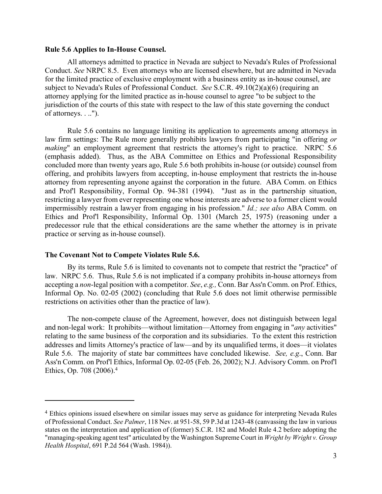#### **Rule 5.6 Applies to In-House Counsel.**

All attorneys admitted to practice in Nevada are subject to Nevada's Rules of Professional Conduct. *See* NRPC 8.5. Even attorneys who are licensed elsewhere, but are admitted in Nevada for the limited practice of exclusive employment with a business entity as in-house counsel, are subject to Nevada's Rules of Professional Conduct. *See* S.C.R. 49.10(2)(a)(6) (requiring an attorney applying for the limited practice as in-house counsel to agree "to be subject to the jurisdiction of the courts of this state with respect to the law of this state governing the conduct of attorneys. . ..").

Rule 5.6 contains no language limiting its application to agreements among attorneys in law firm settings: The Rule more generally prohibits lawyers from participating "in offering *or making*" an employment agreement that restricts the attorney's right to practice. NRPC 5.6 (emphasis added). Thus, as the ABA Committee on Ethics and Professional Responsibility concluded more than twenty years ago, Rule 5.6 both prohibits in-house (or outside) counsel from offering, and prohibits lawyers from accepting, in-house employment that restricts the in-house attorney from representing anyone against the corporation in the future. ABA Comm. on Ethics and Prof'l Responsibility, Formal Op. 94-381 (1994). "Just as in the partnership situation, restricting a lawyer from ever representing one whose interests are adverse to a former client would impermissibly restrain a lawyer from engaging in his profession." *Id.; see also* ABA Comm. on Ethics and Prof'l Responsibility, Informal Op. 1301 (March 25, 1975) (reasoning under a predecessor rule that the ethical considerations are the same whether the attorney is in private practice or serving as in-house counsel).

# **The Covenant Not to Compete Violates Rule 5.6.**

By its terms, Rule 5.6 is limited to covenants not to compete that restrict the "practice" of law. NRPC 5.6. Thus, Rule 5.6 is not implicated if a company prohibits in-house attorneys from accepting a *non*-legal position with a competitor. *See*, *e.g.,* Conn. Bar Ass'n Comm. on Prof. Ethics, Informal Op. No. 02-05 (2002) (concluding that Rule 5.6 does not limit otherwise permissible restrictions on activities other than the practice of law).

The non-compete clause of the Agreement, however, does not distinguish between legal and non-legal work: It prohibits—without limitation—Attorney from engaging in "*any* activities" relating to the same business of the corporation and its subsidiaries. To the extent this restriction addresses and limits Attorney's practice of law—and by its unqualified terms, it does—it violates Rule 5.6. The majority of state bar committees have concluded likewise. *See, e.g*., Conn. Bar Ass'n Comm. on Prof'l Ethics, Informal Op. 02-05 (Feb. 26, 2002); N.J. Advisory Comm. on Prof'l Ethics, Op. 708 (2006).<sup>4</sup>

<sup>4</sup> Ethics opinions issued elsewhere on similar issues may serve as guidance for interpreting Nevada Rules of Professional Conduct. *See Palmer*, 118 Nev. at 951-58, 59 P.3d at 1243-48 (canvassing the law in various states on the interpretation and application of (former) S.C.R. 182 and Model Rule 4.2 before adopting the "managing-speaking agent test" articulated by the Washington Supreme Court in *Wright by Wright v. Group Health Hospital*, 691 P.2d 564 (Wash. 1984)).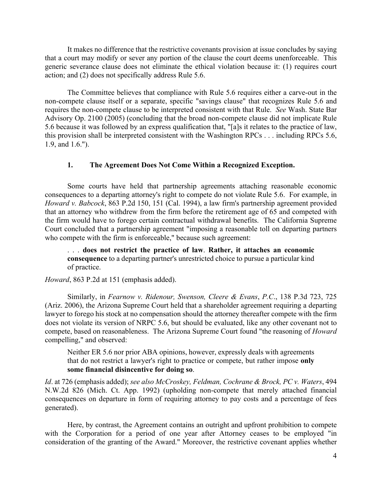It makes no difference that the restrictive covenants provision at issue concludes by saying that a court may modify or sever any portion of the clause the court deems unenforceable. This generic severance clause does not eliminate the ethical violation because it: (1) requires court action; and (2) does not specifically address Rule 5.6.

The Committee believes that compliance with Rule 5.6 requires either a carve-out in the non-compete clause itself or a separate, specific "savings clause" that recognizes Rule 5.6 and requires the non-compete clause to be interpreted consistent with that Rule. *See* Wash. State Bar Advisory Op. 2100 (2005) (concluding that the broad non-compete clause did not implicate Rule 5.6 because it was followed by an express qualification that, "[a]s it relates to the practice of law, this provision shall be interpreted consistent with the Washington RPCs . . . including RPCs 5.6, 1.9, and 1.6.").

# **1. The Agreement Does Not Come Within a Recognized Exception.**

 Some courts have held that partnership agreements attaching reasonable economic consequences to a departing attorney's right to compete do not violate Rule 5.6. For example, in *Howard v. Babcock*, 863 P.2d 150, 151 (Cal. 1994), a law firm's partnership agreement provided that an attorney who withdrew from the firm before the retirement age of 65 and competed with the firm would have to forego certain contractual withdrawal benefits. The California Supreme Court concluded that a partnership agreement "imposing a reasonable toll on departing partners who compete with the firm is enforceable," because such agreement:

. . . **does not restrict the practice of law**. **Rather, it attaches an economic consequence** to a departing partner's unrestricted choice to pursue a particular kind of practice.

*Howard*, 863 P.2d at 151 (emphasis added).

Similarly, in *Fearnow v. Ridenour, Swenson, Cleere & Evans*, *P.C*., 138 P.3d 723, 725 (Ariz. 2006), the Arizona Supreme Court held that a shareholder agreement requiring a departing lawyer to forego his stock at no compensation should the attorney thereafter compete with the firm does not violate its version of NRPC 5.6, but should be evaluated, like any other covenant not to compete, based on reasonableness. The Arizona Supreme Court found "the reasoning of *Howard* compelling," and observed:

Neither ER 5.6 nor prior ABA opinions, however, expressly deals with agreements that do not restrict a lawyer's right to practice or compete, but rather impose **only some financial disincentive for doing so**.

*Id*. at 726 (emphasis added); *see also McCroskey, Feldman, Cochrane & Brock, PC v. Waters*, 494 N.W.2d 826 (Mich. Ct. App. 1992) (upholding non-compete that merely attached financial consequences on departure in form of requiring attorney to pay costs and a percentage of fees generated).

Here, by contrast, the Agreement contains an outright and upfront prohibition to compete with the Corporation for a period of one year after Attorney ceases to be employed "in consideration of the granting of the Award." Moreover, the restrictive covenant applies whether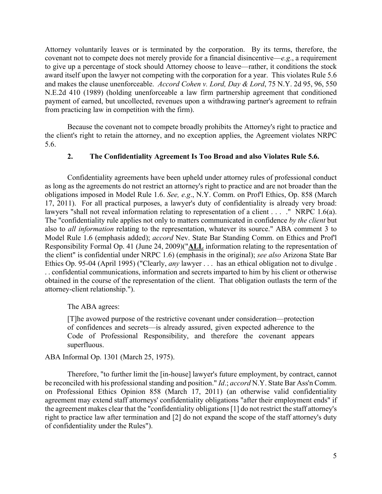Attorney voluntarily leaves or is terminated by the corporation. By its terms, therefore, the covenant not to compete does not merely provide for a financial disincentive—*e.g*., a requirement to give up a percentage of stock should Attorney choose to leave—rather, it conditions the stock award itself upon the lawyer not competing with the corporation for a year. This violates Rule 5.6 and makes the clause unenforceable. *Accord Cohen v. Lord, Day & Lord*, 75 N.Y. 2d 95, 96, 550 N.E.2d 410 (1989) (holding unenforceable a law firm partnership agreement that conditioned payment of earned, but uncollected, revenues upon a withdrawing partner's agreement to refrain from practicing law in competition with the firm).

Because the covenant not to compete broadly prohibits the Attorney's right to practice and the client's right to retain the attorney, and no exception applies, the Agreement violates NRPC 5.6.

# **2. The Confidentiality Agreement Is Too Broad and also Violates Rule 5.6.**

Confidentiality agreements have been upheld under attorney rules of professional conduct as long as the agreements do not restrict an attorney's right to practice and are not broader than the obligations imposed in Model Rule 1.6. *See, e.g*., N.Y. Comm. on Prof'l Ethics, Op. 858 (March 17, 2011). For all practical purposes, a lawyer's duty of confidentiality is already very broad: lawyers "shall not reveal information relating to representation of a client . . . . " NRPC 1.6(a). The "confidentiality rule applies not only to matters communicated in confidence *by the client* but also to *all information* relating to the representation, whatever its source." ABA comment 3 to Model Rule 1.6 (emphasis added); *accord* Nev. State Bar Standing Comm. on Ethics and Prof'l Responsibility Formal Op. 41 (June 24, 2009)("**ALL** information relating to the representation of the client" is confidential under NRPC 1.6) (emphasis in the original); *see also* Arizona State Bar Ethics Op. 95-04 (April 1995) ("Clearly, *any* lawyer . . . has an ethical obligation not to divulge . . . confidential communications, information and secrets imparted to him by his client or otherwise obtained in the course of the representation of the client. That obligation outlasts the term of the attorney-client relationship.").

# The ABA agrees:

[T]he avowed purpose of the restrictive covenant under consideration—protection of confidences and secrets—is already assured, given expected adherence to the Code of Professional Responsibility, and therefore the covenant appears superfluous.

# ABA Informal Op. 1301 (March 25, 1975).

Therefore, "to further limit the [in-house] lawyer's future employment, by contract, cannot be reconciled with his professional standing and position." *Id.; accord* N.Y. State Bar Ass'n Comm. on Professional Ethics Opinion 858 (March 17, 2011) (an otherwise valid confidentiality agreement may extend staff attorneys' confidentiality obligations "after their employment ends" if the agreement makes clear that the "confidentiality obligations[1] do not restrict the staff attorney's right to practice law after termination and [2] do not expand the scope of the staff attorney's duty of confidentiality under the Rules").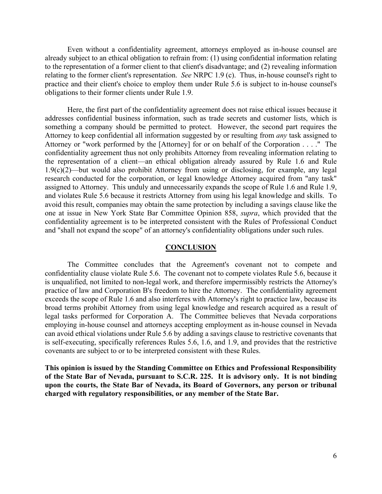Even without a confidentiality agreement, attorneys employed as in-house counsel are already subject to an ethical obligation to refrain from: (1) using confidential information relating to the representation of a former client to that client's disadvantage; and (2) revealing information relating to the former client's representation. *See* NRPC 1.9 (c). Thus, in-house counsel's right to practice and their client's choice to employ them under Rule 5.6 is subject to in-house counsel's obligations to their former clients under Rule 1.9.

Here, the first part of the confidentiality agreement does not raise ethical issues because it addresses confidential business information, such as trade secrets and customer lists, which is something a company should be permitted to protect. However, the second part requires the Attorney to keep confidential all information suggested by or resulting from *any* task assigned to Attorney or "work performed by the [Attorney] for or on behalf of the Corporation . . . ." The confidentiality agreement thus not only prohibits Attorney from revealing information relating to the representation of a client—an ethical obligation already assured by Rule 1.6 and Rule 1.9(c)(2)—but would also prohibit Attorney from using or disclosing, for example, any legal research conducted for the corporation, or legal knowledge Attorney acquired from "any task" assigned to Attorney. This unduly and unnecessarily expands the scope of Rule 1.6 and Rule 1.9, and violates Rule 5.6 because it restricts Attorney from using his legal knowledge and skills. To avoid this result, companies may obtain the same protection by including a savings clause like the one at issue in New York State Bar Committee Opinion 858, *supra*, which provided that the confidentiality agreement is to be interpreted consistent with the Rules of Professional Conduct and "shall not expand the scope" of an attorney's confidentiality obligations under such rules.

### **CONCLUSION**

The Committee concludes that the Agreement's covenant not to compete and confidentiality clause violate Rule 5.6. The covenant not to compete violates Rule 5.6, because it is unqualified, not limited to non-legal work, and therefore impermissibly restricts the Attorney's practice of law and Corporation B's freedom to hire the Attorney. The confidentiality agreement exceeds the scope of Rule 1.6 and also interferes with Attorney's right to practice law, because its broad terms prohibit Attorney from using legal knowledge and research acquired as a result of legal tasks performed for Corporation A. The Committee believes that Nevada corporations employing in-house counsel and attorneys accepting employment as in-house counsel in Nevada can avoid ethical violations under Rule 5.6 by adding a savings clause to restrictive covenants that is self-executing, specifically references Rules 5.6, 1.6, and 1.9, and provides that the restrictive covenants are subject to or to be interpreted consistent with these Rules.

**This opinion is issued by the Standing Committee on Ethics and Professional Responsibility of the State Bar of Nevada, pursuant to S.C.R. 225. It is advisory only. It is not binding upon the courts, the State Bar of Nevada, its Board of Governors, any person or tribunal charged with regulatory responsibilities, or any member of the State Bar.**